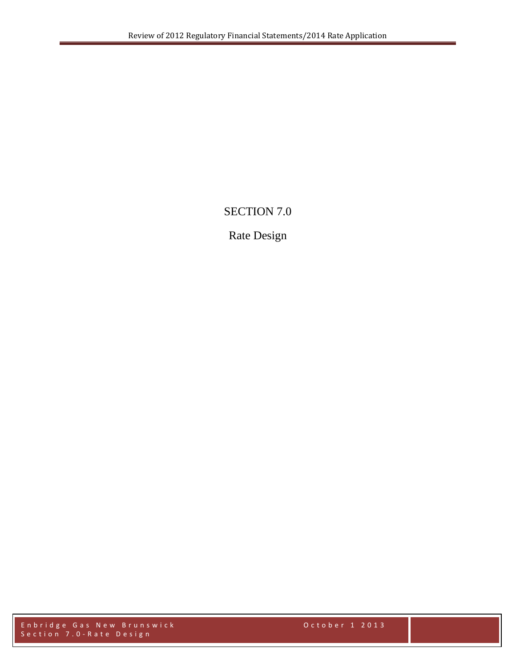# SECTION 7.0

# Rate Design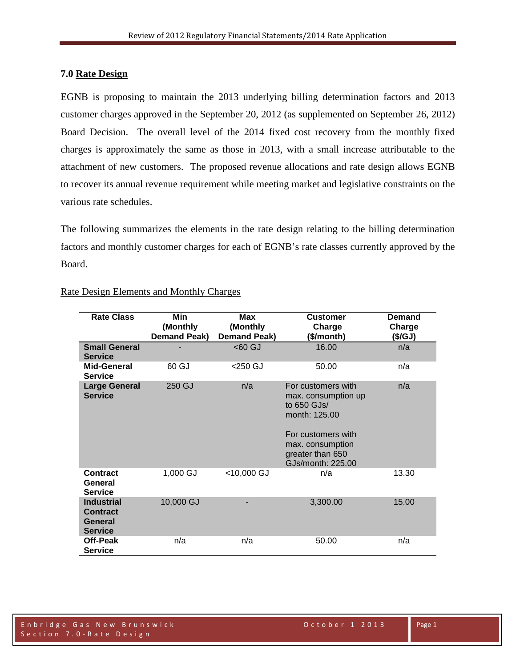### **7.0 Rate Design**

EGNB is proposing to maintain the 2013 underlying billing determination factors and 2013 customer charges approved in the September 20, 2012 (as supplemented on September 26, 2012) Board Decision. The overall level of the 2014 fixed cost recovery from the monthly fixed charges is approximately the same as those in 2013, with a small increase attributable to the attachment of new customers. The proposed revenue allocations and rate design allows EGNB to recover its annual revenue requirement while meeting market and legislative constraints on the various rate schedules.

The following summarizes the elements in the rate design relating to the billing determination factors and monthly customer charges for each of EGNB's rate classes currently approved by the Board.

| <b>Rate Class</b>                                                        | Min<br>(Monthly<br><b>Demand Peak)</b> | <b>Max</b><br>(Monthly<br><b>Demand Peak)</b> | <b>Customer</b><br>Charge<br>(\$/month)                                                                                                                      | Demand<br>Charge<br>(S/GJ) |
|--------------------------------------------------------------------------|----------------------------------------|-----------------------------------------------|--------------------------------------------------------------------------------------------------------------------------------------------------------------|----------------------------|
| <b>Small General</b><br><b>Service</b>                                   |                                        | <60 GJ                                        | 16.00                                                                                                                                                        | n/a                        |
| Mid-General<br><b>Service</b>                                            | 60 GJ                                  | <250 GJ                                       | 50.00                                                                                                                                                        | n/a                        |
| <b>Large General</b><br><b>Service</b>                                   | 250 GJ                                 | n/a                                           | For customers with<br>max. consumption up<br>to 650 GJs/<br>month: 125.00<br>For customers with<br>max. consumption<br>greater than 650<br>GJs/month: 225.00 | n/a                        |
| <b>Contract</b><br>General<br><b>Service</b>                             | 1,000 GJ                               | <10,000 GJ                                    | n/a                                                                                                                                                          | 13.30                      |
| <b>Industrial</b><br><b>Contract</b><br><b>General</b><br><b>Service</b> | 10,000 GJ                              |                                               | 3,300.00                                                                                                                                                     | 15.00                      |
| Off-Peak<br><b>Service</b>                                               | n/a                                    | n/a                                           | 50.00                                                                                                                                                        | n/a                        |

### Rate Design Elements and Monthly Charges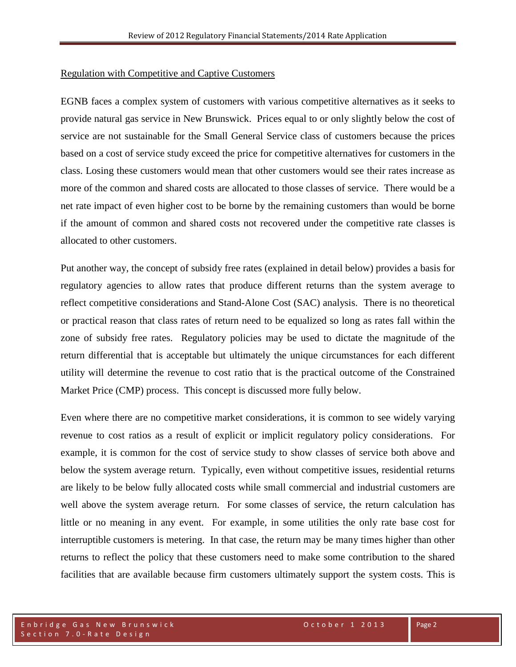#### Regulation with Competitive and Captive Customers

EGNB faces a complex system of customers with various competitive alternatives as it seeks to provide natural gas service in New Brunswick. Prices equal to or only slightly below the cost of service are not sustainable for the Small General Service class of customers because the prices based on a cost of service study exceed the price for competitive alternatives for customers in the class. Losing these customers would mean that other customers would see their rates increase as more of the common and shared costs are allocated to those classes of service. There would be a net rate impact of even higher cost to be borne by the remaining customers than would be borne if the amount of common and shared costs not recovered under the competitive rate classes is allocated to other customers.

Put another way, the concept of subsidy free rates (explained in detail below) provides a basis for regulatory agencies to allow rates that produce different returns than the system average to reflect competitive considerations and Stand-Alone Cost (SAC) analysis. There is no theoretical or practical reason that class rates of return need to be equalized so long as rates fall within the zone of subsidy free rates. Regulatory policies may be used to dictate the magnitude of the return differential that is acceptable but ultimately the unique circumstances for each different utility will determine the revenue to cost ratio that is the practical outcome of the Constrained Market Price (CMP) process. This concept is discussed more fully below.

Even where there are no competitive market considerations, it is common to see widely varying revenue to cost ratios as a result of explicit or implicit regulatory policy considerations. For example, it is common for the cost of service study to show classes of service both above and below the system average return. Typically, even without competitive issues, residential returns are likely to be below fully allocated costs while small commercial and industrial customers are well above the system average return. For some classes of service, the return calculation has little or no meaning in any event. For example, in some utilities the only rate base cost for interruptible customers is metering. In that case, the return may be many times higher than other returns to reflect the policy that these customers need to make some contribution to the shared facilities that are available because firm customers ultimately support the system costs. This is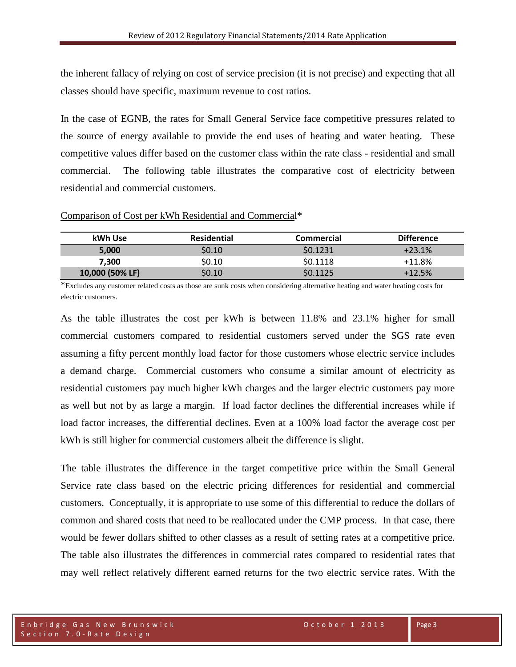the inherent fallacy of relying on cost of service precision (it is not precise) and expecting that all classes should have specific, maximum revenue to cost ratios.

In the case of EGNB, the rates for Small General Service face competitive pressures related to the source of energy available to provide the end uses of heating and water heating. These competitive values differ based on the customer class within the rate class - residential and small commercial. The following table illustrates the comparative cost of electricity between residential and commercial customers.

|  |  | Comparison of Cost per kWh Residential and Commercial* |
|--|--|--------------------------------------------------------|
|  |  |                                                        |

| kWh Use         | <b>Residential</b> | Commercial | <b>Difference</b> |
|-----------------|--------------------|------------|-------------------|
| 5.000           | \$0.10             | \$0.1231   | $+23.1%$          |
| 7.300           | \$0.10             | \$0.1118   | $+11.8%$          |
| 10,000 (50% LF) | \$0.10             | \$0.1125   | $+12.5%$          |

\*Excludes any customer related costs as those are sunk costs when considering alternative heating and water heating costs for electric customers.

As the table illustrates the cost per kWh is between 11.8% and 23.1% higher for small commercial customers compared to residential customers served under the SGS rate even assuming a fifty percent monthly load factor for those customers whose electric service includes a demand charge. Commercial customers who consume a similar amount of electricity as residential customers pay much higher kWh charges and the larger electric customers pay more as well but not by as large a margin. If load factor declines the differential increases while if load factor increases, the differential declines. Even at a 100% load factor the average cost per kWh is still higher for commercial customers albeit the difference is slight.

The table illustrates the difference in the target competitive price within the Small General Service rate class based on the electric pricing differences for residential and commercial customers. Conceptually, it is appropriate to use some of this differential to reduce the dollars of common and shared costs that need to be reallocated under the CMP process. In that case, there would be fewer dollars shifted to other classes as a result of setting rates at a competitive price. The table also illustrates the differences in commercial rates compared to residential rates that may well reflect relatively different earned returns for the two electric service rates. With the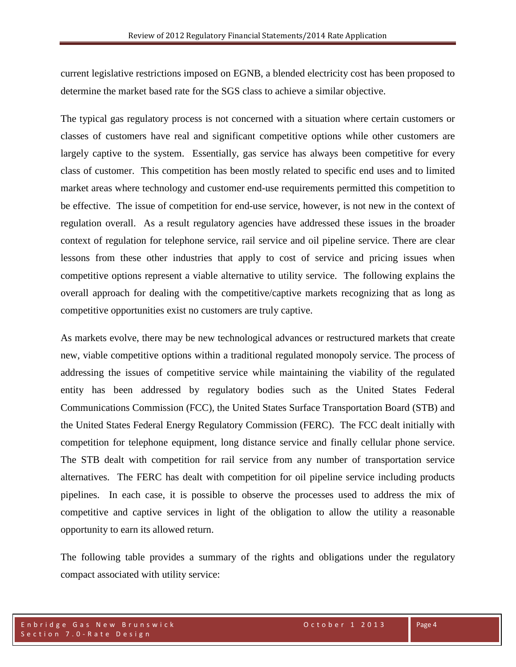current legislative restrictions imposed on EGNB, a blended electricity cost has been proposed to determine the market based rate for the SGS class to achieve a similar objective.

The typical gas regulatory process is not concerned with a situation where certain customers or classes of customers have real and significant competitive options while other customers are largely captive to the system. Essentially, gas service has always been competitive for every class of customer. This competition has been mostly related to specific end uses and to limited market areas where technology and customer end-use requirements permitted this competition to be effective. The issue of competition for end-use service, however, is not new in the context of regulation overall. As a result regulatory agencies have addressed these issues in the broader context of regulation for telephone service, rail service and oil pipeline service. There are clear lessons from these other industries that apply to cost of service and pricing issues when competitive options represent a viable alternative to utility service. The following explains the overall approach for dealing with the competitive/captive markets recognizing that as long as competitive opportunities exist no customers are truly captive.

As markets evolve, there may be new technological advances or restructured markets that create new, viable competitive options within a traditional regulated monopoly service. The process of addressing the issues of competitive service while maintaining the viability of the regulated entity has been addressed by regulatory bodies such as the United States Federal Communications Commission (FCC), the United States Surface Transportation Board (STB) and the United States Federal Energy Regulatory Commission (FERC). The FCC dealt initially with competition for telephone equipment, long distance service and finally cellular phone service. The STB dealt with competition for rail service from any number of transportation service alternatives. The FERC has dealt with competition for oil pipeline service including products pipelines. In each case, it is possible to observe the processes used to address the mix of competitive and captive services in light of the obligation to allow the utility a reasonable opportunity to earn its allowed return.

The following table provides a summary of the rights and obligations under the regulatory compact associated with utility service: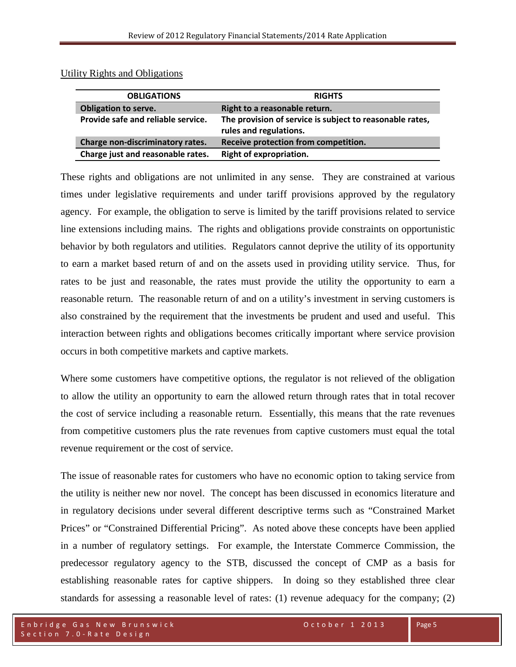| <b>OBLIGATIONS</b>                 | <b>RIGHTS</b>                                                                      |  |  |
|------------------------------------|------------------------------------------------------------------------------------|--|--|
| <b>Obligation to serve.</b>        | Right to a reasonable return.                                                      |  |  |
| Provide safe and reliable service. | The provision of service is subject to reasonable rates,<br>rules and regulations. |  |  |
| Charge non-discriminatory rates.   | Receive protection from competition.                                               |  |  |
| Charge just and reasonable rates.  | <b>Right of expropriation.</b>                                                     |  |  |

Utility Rights and Obligations

These rights and obligations are not unlimited in any sense. They are constrained at various times under legislative requirements and under tariff provisions approved by the regulatory agency. For example, the obligation to serve is limited by the tariff provisions related to service line extensions including mains. The rights and obligations provide constraints on opportunistic behavior by both regulators and utilities. Regulators cannot deprive the utility of its opportunity to earn a market based return of and on the assets used in providing utility service. Thus, for rates to be just and reasonable, the rates must provide the utility the opportunity to earn a reasonable return. The reasonable return of and on a utility's investment in serving customers is also constrained by the requirement that the investments be prudent and used and useful. This interaction between rights and obligations becomes critically important where service provision occurs in both competitive markets and captive markets.

Where some customers have competitive options, the regulator is not relieved of the obligation to allow the utility an opportunity to earn the allowed return through rates that in total recover the cost of service including a reasonable return. Essentially, this means that the rate revenues from competitive customers plus the rate revenues from captive customers must equal the total revenue requirement or the cost of service.

The issue of reasonable rates for customers who have no economic option to taking service from the utility is neither new nor novel. The concept has been discussed in economics literature and in regulatory decisions under several different descriptive terms such as "Constrained Market Prices" or "Constrained Differential Pricing". As noted above these concepts have been applied in a number of regulatory settings. For example, the Interstate Commerce Commission, the predecessor regulatory agency to the STB, discussed the concept of CMP as a basis for establishing reasonable rates for captive shippers. In doing so they established three clear standards for assessing a reasonable level of rates: (1) revenue adequacy for the company; (2)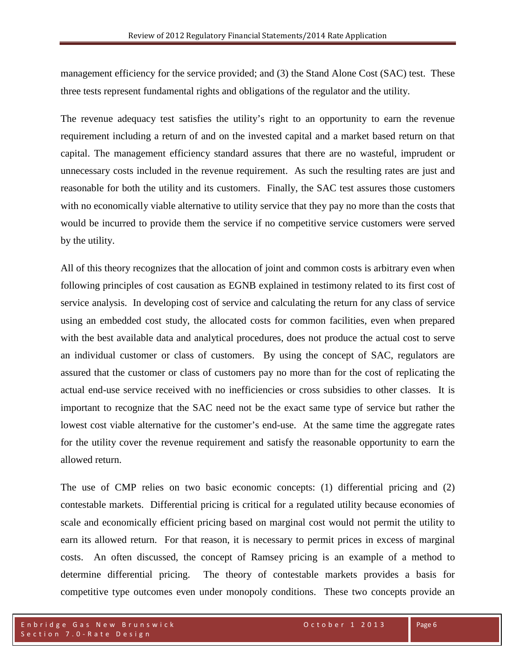management efficiency for the service provided; and (3) the Stand Alone Cost (SAC) test. These three tests represent fundamental rights and obligations of the regulator and the utility.

The revenue adequacy test satisfies the utility's right to an opportunity to earn the revenue requirement including a return of and on the invested capital and a market based return on that capital. The management efficiency standard assures that there are no wasteful, imprudent or unnecessary costs included in the revenue requirement. As such the resulting rates are just and reasonable for both the utility and its customers. Finally, the SAC test assures those customers with no economically viable alternative to utility service that they pay no more than the costs that would be incurred to provide them the service if no competitive service customers were served by the utility.

All of this theory recognizes that the allocation of joint and common costs is arbitrary even when following principles of cost causation as EGNB explained in testimony related to its first cost of service analysis. In developing cost of service and calculating the return for any class of service using an embedded cost study, the allocated costs for common facilities, even when prepared with the best available data and analytical procedures, does not produce the actual cost to serve an individual customer or class of customers. By using the concept of SAC, regulators are assured that the customer or class of customers pay no more than for the cost of replicating the actual end-use service received with no inefficiencies or cross subsidies to other classes. It is important to recognize that the SAC need not be the exact same type of service but rather the lowest cost viable alternative for the customer's end-use. At the same time the aggregate rates for the utility cover the revenue requirement and satisfy the reasonable opportunity to earn the allowed return.

The use of CMP relies on two basic economic concepts: (1) differential pricing and (2) contestable markets. Differential pricing is critical for a regulated utility because economies of scale and economically efficient pricing based on marginal cost would not permit the utility to earn its allowed return. For that reason, it is necessary to permit prices in excess of marginal costs. An often discussed, the concept of Ramsey pricing is an example of a method to determine differential pricing. The theory of contestable markets provides a basis for competitive type outcomes even under monopoly conditions. These two concepts provide an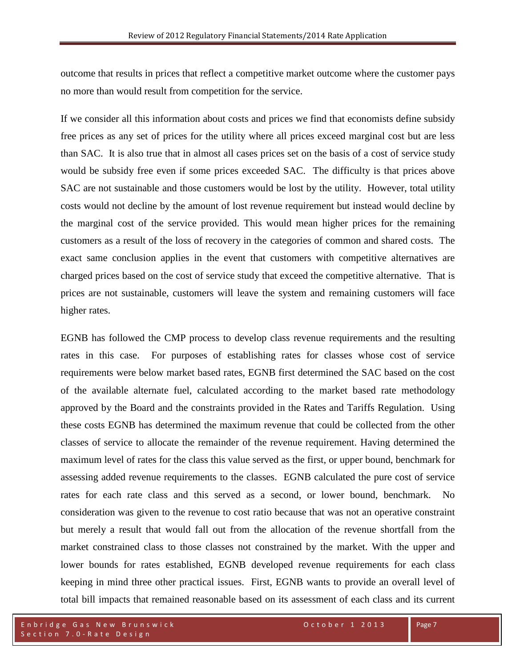outcome that results in prices that reflect a competitive market outcome where the customer pays no more than would result from competition for the service.

If we consider all this information about costs and prices we find that economists define subsidy free prices as any set of prices for the utility where all prices exceed marginal cost but are less than SAC. It is also true that in almost all cases prices set on the basis of a cost of service study would be subsidy free even if some prices exceeded SAC. The difficulty is that prices above SAC are not sustainable and those customers would be lost by the utility. However, total utility costs would not decline by the amount of lost revenue requirement but instead would decline by the marginal cost of the service provided. This would mean higher prices for the remaining customers as a result of the loss of recovery in the categories of common and shared costs. The exact same conclusion applies in the event that customers with competitive alternatives are charged prices based on the cost of service study that exceed the competitive alternative. That is prices are not sustainable, customers will leave the system and remaining customers will face higher rates.

EGNB has followed the CMP process to develop class revenue requirements and the resulting rates in this case. For purposes of establishing rates for classes whose cost of service requirements were below market based rates, EGNB first determined the SAC based on the cost of the available alternate fuel, calculated according to the market based rate methodology approved by the Board and the constraints provided in the Rates and Tariffs Regulation. Using these costs EGNB has determined the maximum revenue that could be collected from the other classes of service to allocate the remainder of the revenue requirement. Having determined the maximum level of rates for the class this value served as the first, or upper bound, benchmark for assessing added revenue requirements to the classes. EGNB calculated the pure cost of service rates for each rate class and this served as a second, or lower bound, benchmark. No consideration was given to the revenue to cost ratio because that was not an operative constraint but merely a result that would fall out from the allocation of the revenue shortfall from the market constrained class to those classes not constrained by the market. With the upper and lower bounds for rates established, EGNB developed revenue requirements for each class keeping in mind three other practical issues. First, EGNB wants to provide an overall level of total bill impacts that remained reasonable based on its assessment of each class and its current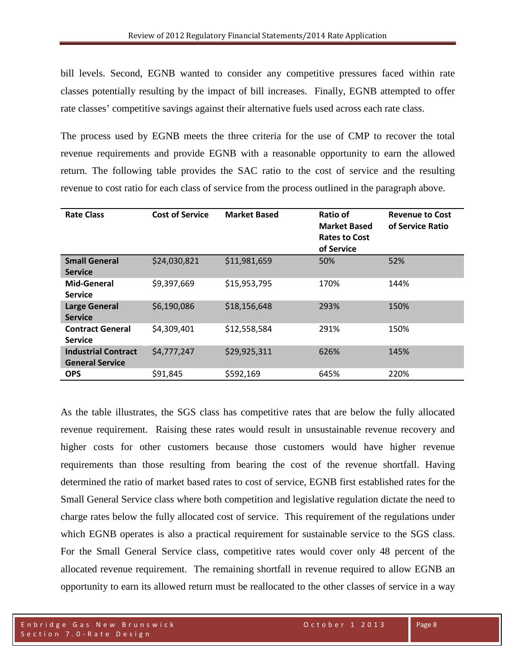bill levels. Second, EGNB wanted to consider any competitive pressures faced within rate classes potentially resulting by the impact of bill increases. Finally, EGNB attempted to offer rate classes' competitive savings against their alternative fuels used across each rate class.

The process used by EGNB meets the three criteria for the use of CMP to recover the total revenue requirements and provide EGNB with a reasonable opportunity to earn the allowed return. The following table provides the SAC ratio to the cost of service and the resulting revenue to cost ratio for each class of service from the process outlined in the paragraph above.

| <b>Rate Class</b>                         | <b>Cost of Service</b> | <b>Market Based</b> | Ratio of<br><b>Market Based</b><br><b>Rates to Cost</b><br>of Service | <b>Revenue to Cost</b><br>of Service Ratio |
|-------------------------------------------|------------------------|---------------------|-----------------------------------------------------------------------|--------------------------------------------|
| <b>Small General</b>                      | \$24,030,821           | \$11,981,659        | 50%                                                                   | 52%                                        |
| <b>Service</b>                            |                        |                     |                                                                       |                                            |
| Mid-General                               | \$9,397,669            | \$15,953,795        | 170%                                                                  | 144%                                       |
| <b>Service</b>                            |                        |                     |                                                                       |                                            |
| <b>Large General</b>                      | \$6,190,086            | \$18,156,648        | 293%                                                                  | 150%                                       |
| <b>Service</b>                            |                        |                     |                                                                       |                                            |
| <b>Contract General</b><br><b>Service</b> | \$4,309,401            | \$12,558,584        | 291%                                                                  | 150%                                       |
| <b>Industrial Contract</b>                | \$4,777,247            | \$29,925,311        | 626%                                                                  | 145%                                       |
| <b>General Service</b>                    |                        |                     |                                                                       |                                            |
| <b>OPS</b>                                | \$91,845               | \$592,169           | 645%                                                                  | 220%                                       |

As the table illustrates, the SGS class has competitive rates that are below the fully allocated revenue requirement. Raising these rates would result in unsustainable revenue recovery and higher costs for other customers because those customers would have higher revenue requirements than those resulting from bearing the cost of the revenue shortfall. Having determined the ratio of market based rates to cost of service, EGNB first established rates for the Small General Service class where both competition and legislative regulation dictate the need to charge rates below the fully allocated cost of service. This requirement of the regulations under which EGNB operates is also a practical requirement for sustainable service to the SGS class. For the Small General Service class, competitive rates would cover only 48 percent of the allocated revenue requirement. The remaining shortfall in revenue required to allow EGNB an opportunity to earn its allowed return must be reallocated to the other classes of service in a way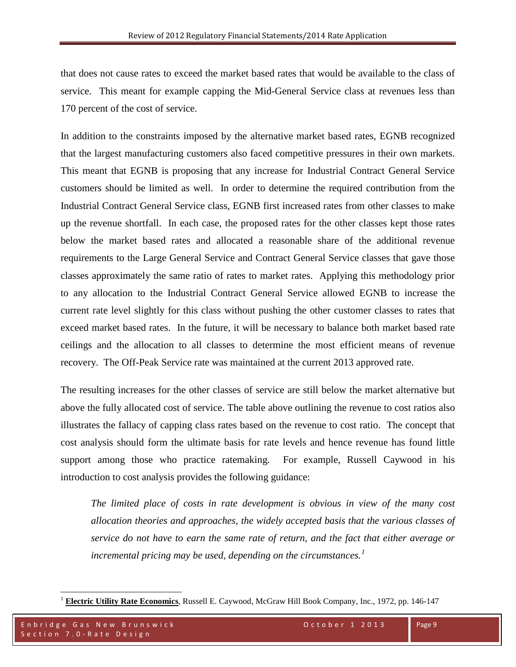that does not cause rates to exceed the market based rates that would be available to the class of service. This meant for example capping the Mid-General Service class at revenues less than 170 percent of the cost of service.

In addition to the constraints imposed by the alternative market based rates, EGNB recognized that the largest manufacturing customers also faced competitive pressures in their own markets. This meant that EGNB is proposing that any increase for Industrial Contract General Service customers should be limited as well. In order to determine the required contribution from the Industrial Contract General Service class, EGNB first increased rates from other classes to make up the revenue shortfall. In each case, the proposed rates for the other classes kept those rates below the market based rates and allocated a reasonable share of the additional revenue requirements to the Large General Service and Contract General Service classes that gave those classes approximately the same ratio of rates to market rates. Applying this methodology prior to any allocation to the Industrial Contract General Service allowed EGNB to increase the current rate level slightly for this class without pushing the other customer classes to rates that exceed market based rates. In the future, it will be necessary to balance both market based rate ceilings and the allocation to all classes to determine the most efficient means of revenue recovery. The Off-Peak Service rate was maintained at the current 2013 approved rate.

The resulting increases for the other classes of service are still below the market alternative but above the fully allocated cost of service. The table above outlining the revenue to cost ratios also illustrates the fallacy of capping class rates based on the revenue to cost ratio. The concept that cost analysis should form the ultimate basis for rate levels and hence revenue has found little support among those who practice ratemaking. For example, Russell Caywood in his introduction to cost analysis provides the following guidance:

*The limited place of costs in rate development is obvious in view of the many cost allocation theories and approaches, the widely accepted basis that the various classes of service do not have to earn the same rate of return, and the fact that either average or incremental pricing may be used, depending on the circumstances.[1](#page-9-0)*

<span id="page-9-0"></span><sup>1</sup> **Electric Utility Rate Economics**, Russell E. Caywood, McGraw Hill Book Company, Inc., 1972, pp. 146-147